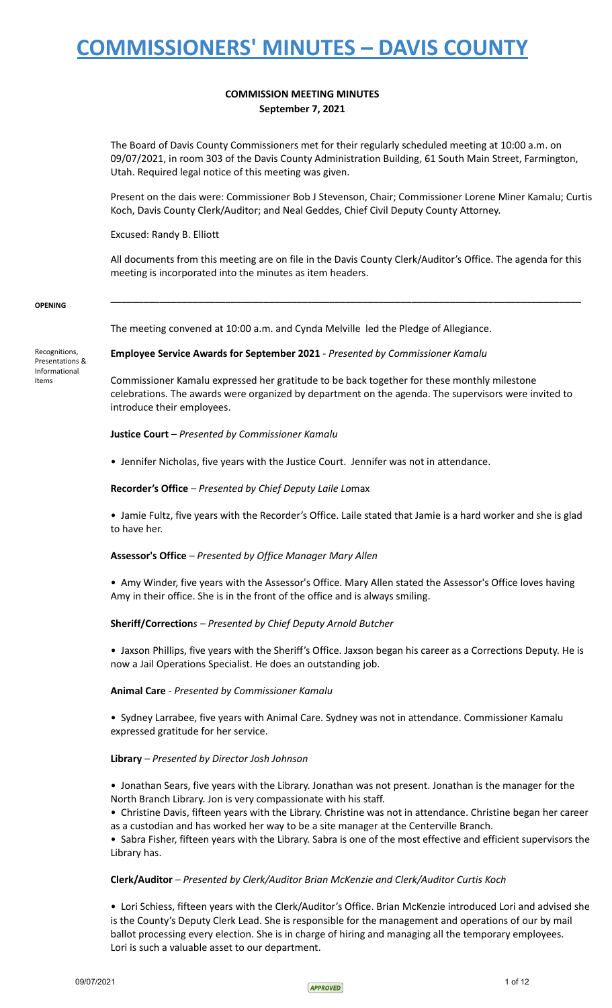# **COMMISSION MEETING MINUTES September 7, 2021**

The Board of Davis County Commissioners met for their regularly scheduled meeting at 10:00 a.m. on 09/07/2021, in room 303 of the Davis County Administration Building, 61 South Main Street, Farmington, Utah. Required legal notice of this meeting was given.

Present on the dais were: Commissioner Bob J Stevenson, Chair; Commissioner Lorene Miner Kamalu; Curtis Koch, Davis County Clerk/Auditor; and Neal Geddes, Chief Civil Deputy County Attorney.

Excused: Randy B. Elliott

All documents from this meeting are on file in the Davis County Clerk/Auditor's Office. The agenda for this meeting is incorporated into the minutes as item headers.

**\_\_\_\_\_\_\_\_\_\_\_\_\_\_\_\_\_\_\_\_\_\_\_\_\_\_\_\_\_\_\_\_\_\_\_\_\_\_\_\_\_\_\_\_\_\_\_\_\_\_\_\_\_\_\_\_\_\_\_\_\_\_\_\_\_\_\_\_\_\_\_\_\_\_\_\_\_\_\_\_\_\_\_\_\_\_**

#### **OPENING**

The meeting convened at 10:00 a.m. and Cynda Melville led the Pledge of Allegiance.

Recognitions, Presentations & Informational Items

**Employee Service Awards for September 2021** - *Presented by Commissioner Kamalu*

Commissioner Kamalu expressed her gratitude to be back together for these monthly milestone celebrations. The awards were organized by department on the agenda. The supervisors were invited to introduce their employees.

### **Justice Court** *– Presented by Commissioner Kamalu*

• Jennifer Nicholas, five years with the Justice Court. Jennifer was not in attendance.

### **Recorder's Office** *– Presented by Chief Deputy Laile Lo*max

• Jamie Fultz, five years with the Recorder's Office. Laile stated that Jamie is a hard worker and she is glad to have her.

### **Assessor's Office** *– Presented by Office Manager Mary Allen*

• Amy Winder, five years with the Assessor's Office. Mary Allen stated the Assessor's Office loves having Amy in their office. She is in the front of the office and is always smiling.

### **Sheriff/Correction***s – Presented by Chief Deputy Arnold Butcher*

• Jaxson Phillips, five years with the Sheriff's Office. Jaxson began his career as a Corrections Deputy. He is now a Jail Operations Specialist. He does an outstanding job.

#### **Animal Care** *- Presented by Commissioner Kamalu*

• Sydney Larrabee, five years with Animal Care. Sydney was not in attendance. Commissioner Kamalu expressed gratitude for her service.

### **Library** *– Presented by Director Josh Johnson*

• Jonathan Sears, five years with the Library. Jonathan was not present. Jonathan is the manager for the North Branch Library. Jon is very compassionate with his staff.

• Christine Davis, fifteen years with the Library. Christine was not in attendance. Christine began her career as a custodian and has worked her way to be a site manager at the Centerville Branch.

• Sabra Fisher, fifteen years with the Library. Sabra is one of the most effective and efficient supervisors the Library has.

### **Clerk/Auditor** *– Presented by Clerk/Auditor Brian McKenzie and Clerk/Auditor Curtis Koch*

• Lori Schiess, fifteen years with the Clerk/Auditor's Office. Brian McKenzie introduced Lori and advised she is the County's Deputy Clerk Lead. She is responsible for the management and operations of our by mail ballot processing every election. She is in charge of hiring and managing all the temporary employees. Lori is such a valuable asset to our department.

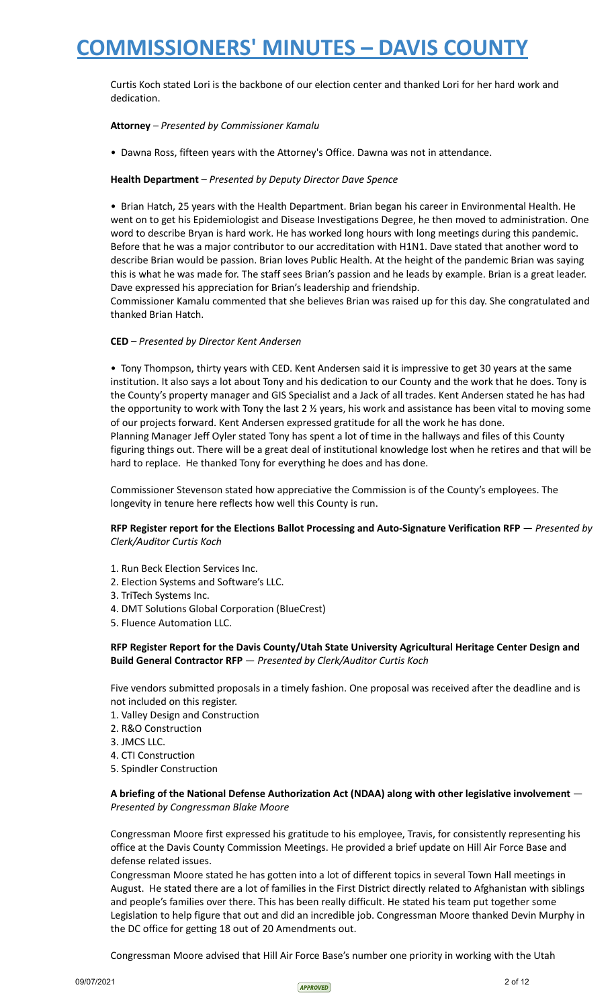Curtis Koch stated Lori is the backbone of our election center and thanked Lori for her hard work and dedication.

# **Attorney** *– Presented by Commissioner Kamalu*

• Dawna Ross, fifteen years with the Attorney's Office. Dawna was not in attendance.

# **Health Department** *– Presented by Deputy Director Dave Spence*

• Brian Hatch, 25 years with the Health Department. Brian began his career in Environmental Health. He went on to get his Epidemiologist and Disease Investigations Degree, he then moved to administration. One word to describe Bryan is hard work. He has worked long hours with long meetings during this pandemic. Before that he was a major contributor to our accreditation with H1N1. Dave stated that another word to describe Brian would be passion. Brian loves Public Health. At the height of the pandemic Brian was saying this is what he was made for. The staff sees Brian's passion and he leads by example. Brian is a great leader. Dave expressed his appreciation for Brian's leadership and friendship.

Commissioner Kamalu commented that she believes Brian was raised up for this day. She congratulated and thanked Brian Hatch.

# **CED** *– Presented by Director Kent Andersen*

• Tony Thompson, thirty years with CED. Kent Andersen said it is impressive to get 30 years at the same institution. It also says a lot about Tony and his dedication to our County and the work that he does. Tony is the County's property manager and GIS Specialist and a Jack of all trades. Kent Andersen stated he has had the opportunity to work with Tony the last 2 ½ years, his work and assistance has been vital to moving some of our projects forward. Kent Andersen expressed gratitude for all the work he has done.

Planning Manager Jeff Oyler stated Tony has spent a lot of time in the hallways and files of this County figuring things out. There will be a great deal of institutional knowledge lost when he retires and that will be hard to replace. He thanked Tony for everything he does and has done.

Commissioner Stevenson stated how appreciative the Commission is of the County's employees. The longevity in tenure here reflects how well this County is run.

# **RFP Register report for the Elections Ballot Processing and Auto-Signature Verification RFP** — *Presented by Clerk/Auditor Curtis Koch*

- 1. Run Beck Election Services Inc.
- 2. Election Systems and Software's LLC.
- 3. TriTech Systems Inc.
- 4. DMT Solutions Global Corporation (BlueCrest)
- 5. Fluence Automation LLC.

# **RFP Register Report for the Davis County/Utah State University Agricultural Heritage Center Design and Build General Contractor RFP** — *Presented by Clerk/Auditor Curtis Koch*

Five vendors submitted proposals in a timely fashion. One proposal was received after the deadline and is not included on this register.

- 1. Valley Design and Construction
- 2. R&O Construction
- 3. JMCS LLC.
- 4. CTI Construction
- 5. Spindler Construction

# **A briefing of the National Defense Authorization Act (NDAA) along with other legislative involvement** — *Presented by Congressman Blake Moore*

Congressman Moore first expressed his gratitude to his employee, Travis, for consistently representing his office at the Davis County Commission Meetings. He provided a brief update on Hill Air Force Base and defense related issues.

Congressman Moore stated he has gotten into a lot of different topics in several Town Hall meetings in August. He stated there are a lot of families in the First District directly related to Afghanistan with siblings and people's families over there. This has been really difficult. He stated his team put together some Legislation to help figure that out and did an incredible job. Congressman Moore thanked Devin Murphy in the DC office for getting 18 out of 20 Amendments out.

Congressman Moore advised that Hill Air Force Base's number one priority in working with the Utah

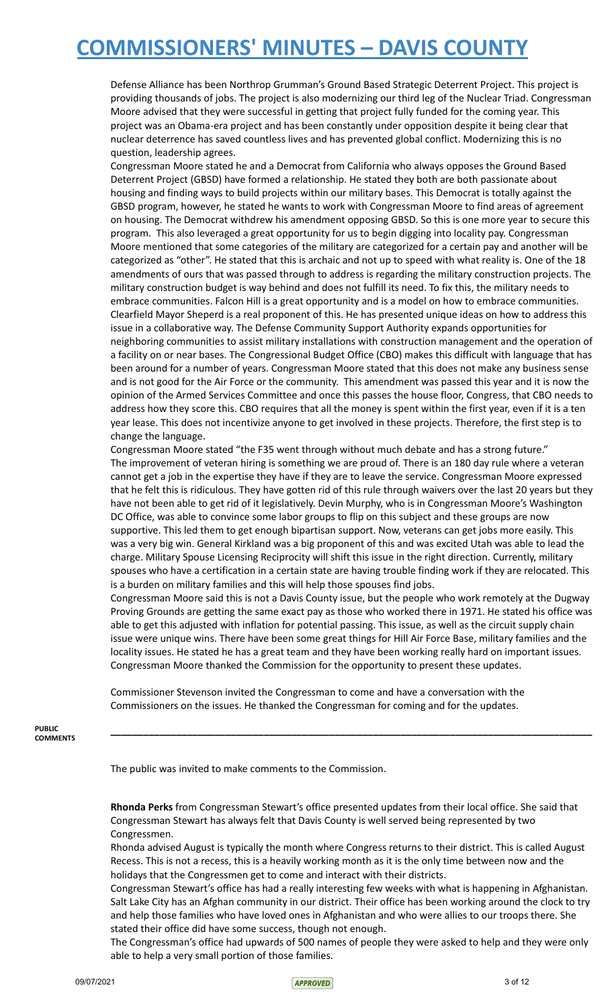Defense Alliance has been Northrop Grumman's Ground Based Strategic Deterrent Project. This project is providing thousands of jobs. The project is also modernizing our third leg of the Nuclear Triad. Congressman Moore advised that they were successful in getting that project fully funded for the coming year. This project was an Obama-era project and has been constantly under opposition despite it being clear that nuclear deterrence has saved countless lives and has prevented global conflict. Modernizing this is no question, leadership agrees.

Congressman Moore stated he and a Democrat from California who always opposes the Ground Based Deterrent Project (GBSD) have formed a relationship. He stated they both are both passionate about housing and finding ways to build projects within our military bases. This Democrat is totally against the GBSD program, however, he stated he wants to work with Congressman Moore to find areas of agreement on housing. The Democrat withdrew his amendment opposing GBSD. So this is one more year to secure this program. This also leveraged a great opportunity for us to begin digging into locality pay. Congressman Moore mentioned that some categories of the military are categorized for a certain pay and another will be categorized as "other". He stated that this is archaic and not up to speed with what reality is. One of the 18 amendments of ours that was passed through to address is regarding the military construction projects. The military construction budget is way behind and does not fulfill its need. To fix this, the military needs to embrace communities. Falcon Hill is a great opportunity and is a model on how to embrace communities. Clearfield Mayor Sheperd is a real proponent of this. He has presented unique ideas on how to address this issue in a collaborative way. The Defense Community Support Authority expands opportunities for neighboring communities to assist military installations with construction management and the operation of a facility on or near bases. The Congressional Budget Office (CBO) makes this difficult with language that has been around for a number of years. Congressman Moore stated that this does not make any business sense and is not good for the Air Force or the community. This amendment was passed this year and it is now the opinion of the Armed Services Committee and once this passes the house floor, Congress, that CBO needs to address how they score this. CBO requires that all the money is spent within the first year, even if it is a ten year lease. This does not incentivize anyone to get involved in these projects. Therefore, the first step is to change the language.

Congressman Moore stated "the F35 went through without much debate and has a strong future." The improvement of veteran hiring is something we are proud of. There is an 180 day rule where a veteran cannot get a job in the expertise they have if they are to leave the service. Congressman Moore expressed that he felt this is ridiculous. They have gotten rid of this rule through waivers over the last 20 years but they have not been able to get rid of it legislatively. Devin Murphy, who is in Congressman Moore's Washington DC Office, was able to convince some labor groups to flip on this subject and these groups are now supportive. This led them to get enough bipartisan support. Now, veterans can get jobs more easily. This was a very big win. General Kirkland was a big proponent of this and was excited Utah was able to lead the charge. Military Spouse Licensing Reciprocity will shift this issue in the right direction. Currently, military spouses who have a certification in a certain state are having trouble finding work if they are relocated. This is a burden on military families and this will help those spouses find jobs.

Congressman Moore said this is not a Davis County issue, but the people who work remotely at the Dugway Proving Grounds are getting the same exact pay as those who worked there in 1971. He stated his office was able to get this adjusted with inflation for potential passing. This issue, as well as the circuit supply chain issue were unique wins. There have been some great things for Hill Air Force Base, military families and the locality issues. He stated he has a great team and they have been working really hard on important issues. Congressman Moore thanked the Commission for the opportunity to present these updates.

**\_\_\_\_\_\_\_\_\_\_\_\_\_\_\_\_\_\_\_\_\_\_\_\_\_\_\_\_\_\_\_\_\_\_\_\_\_\_\_\_\_\_\_\_\_\_\_\_\_\_\_\_\_\_\_\_\_\_\_\_\_\_\_\_\_\_\_\_\_\_\_\_\_\_\_\_\_\_\_\_\_\_\_\_\_\_\_\_**

Commissioner Stevenson invited the Congressman to come and have a conversation with the Commissioners on the issues. He thanked the Congressman for coming and for the updates.

**PUBLIC COMMENTS**

The public was invited to make comments to the Commission.

**Rhonda Perks** from Congressman Stewart's office presented updates from their local office. She said that Congressman Stewart has always felt that Davis County is well served being represented by two Congressmen.

Rhonda advised August is typically the month where Congress returns to their district. This is called August Recess. This is not a recess, this is a heavily working month as it is the only time between now and the holidays that the Congressmen get to come and interact with their districts.

Congressman Stewart's office has had a really interesting few weeks with what is happening in Afghanistan. Salt Lake City has an Afghan community in our district. Their office has been working around the clock to try and help those families who have loved ones in Afghanistan and who were allies to our troops there. She stated their office did have some success, though not enough.

The Congressman's office had upwards of 500 names of people they were asked to help and they were only able to help a very small portion of those families.

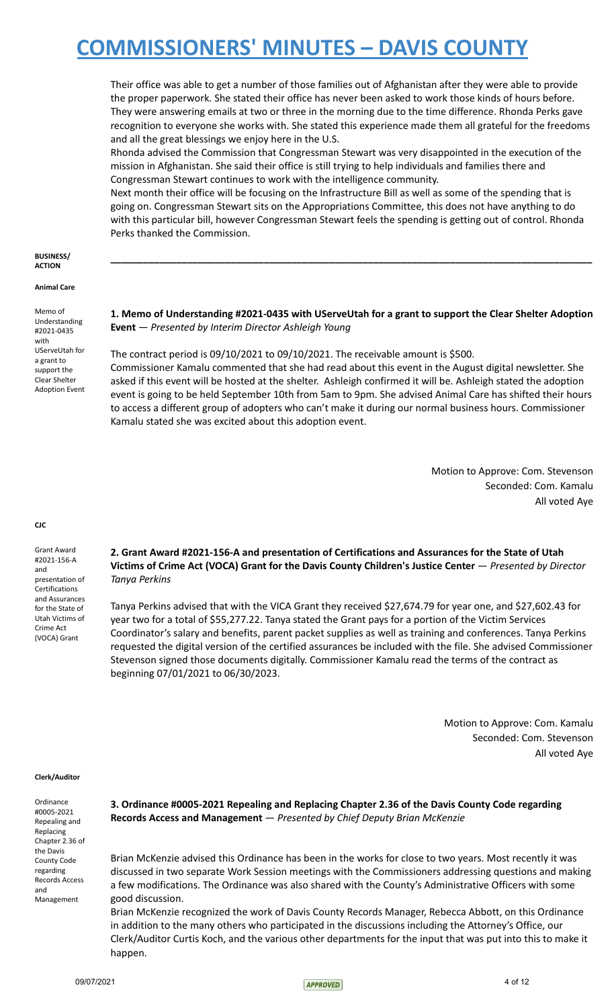Their office was able to get a number of those families out of Afghanistan after they were able to provide the proper paperwork. She stated their office has never been asked to work those kinds of hours before. They were answering emails at two or three in the morning due to the time difference. Rhonda Perks gave recognition to everyone she works with. She stated this experience made them all grateful for the freedoms and all the great blessings we enjoy here in the U.S.

Rhonda advised the Commission that Congressman Stewart was very disappointed in the execution of the mission in Afghanistan. She said their office is still trying to help individuals and families there and Congressman Stewart continues to work with the intelligence community.

Next month their office will be focusing on the Infrastructure Bill as well as some of the spending that is going on. Congressman Stewart sits on the Appropriations Committee, this does not have anything to do with this particular bill, however Congressman Stewart feels the spending is getting out of control. Rhonda Perks thanked the Commission.

#### **BUSINESS/ ACTION**

**Animal Care**

Memo of Understanding #2021-0435 with UServeUtah for a grant to support the Clear Shelter Adoption Event

# **1. Memo of Understanding #2021-0435 with UServeUtah for a grant to support the Clear Shelter Adoption Event** — *Presented by Interim Director Ashleigh Young*

**\_\_\_\_\_\_\_\_\_\_\_\_\_\_\_\_\_\_\_\_\_\_\_\_\_\_\_\_\_\_\_\_\_\_\_\_\_\_\_\_\_\_\_\_\_\_\_\_\_\_\_\_\_\_\_\_\_\_\_\_\_\_\_\_\_\_\_\_\_\_\_\_\_\_\_\_\_\_\_\_\_\_\_\_\_\_\_\_**

The contract period is 09/10/2021 to 09/10/2021. The receivable amount is \$500.

Commissioner Kamalu commented that she had read about this event in the August digital newsletter. She asked if this event will be hosted at the shelter. Ashleigh confirmed it will be. Ashleigh stated the adoption event is going to be held September 10th from 5am to 9pm. She advised Animal Care has shifted their hours to access a different group of adopters who can't make it during our normal business hours. Commissioner Kamalu stated she was excited about this adoption event.

> Motion to Approve: Com. Stevenson Seconded: Com. Kamalu All voted Aye

Grant Award #2021-156-A and presentation of **Certifications** and Assurances for the State of Utah Victims of Crime Act (VOCA) Grant

**CJC**

# **2. Grant Award #2021-156-A and presentation of Certifications and Assurances for the State of Utah Victims of Crime Act (VOCA) Grant for the Davis County Children's Justice Center** — *Presented by Director Tanya Perkins*

Tanya Perkins advised that with the VICA Grant they received \$27,674.79 for year one, and \$27,602.43 for year two for a total of \$55,277.22. Tanya stated the Grant pays for a portion of the Victim Services Coordinator's salary and benefits, parent packet supplies as well as training and conferences. Tanya Perkins requested the digital version of the certified assurances be included with the file. She advised Commissioner Stevenson signed those documents digitally. Commissioner Kamalu read the terms of the contract as beginning 07/01/2021 to 06/30/2023.

> Motion to Approve: Com. Kamalu Seconded: Com. Stevenson All voted Aye

#### **Clerk/Auditor**

Ordinance #0005-2021 Repealing and Replacing Chapter 2.36 of the Davis County Code regarding Records Access and Management

**3. Ordinance #0005-2021 Repealing and Replacing Chapter 2.36 of the Davis County Code regarding Records Access and Management** — *Presented by Chief Deputy Brian McKenzie*

Brian McKenzie advised this Ordinance has been in the works for close to two years. Most recently it was discussed in two separate Work Session meetings with the Commissioners addressing questions and making a few modifications. The Ordinance was also shared with the County's Administrative Officers with some good discussion.

Brian McKenzie recognized the work of Davis County Records Manager, Rebecca Abbott, on this Ordinance in addition to the many others who participated in the discussions including the Attorney's Office, our Clerk/Auditor Curtis Koch, and the various other departments for the input that was put into this to make it happen.

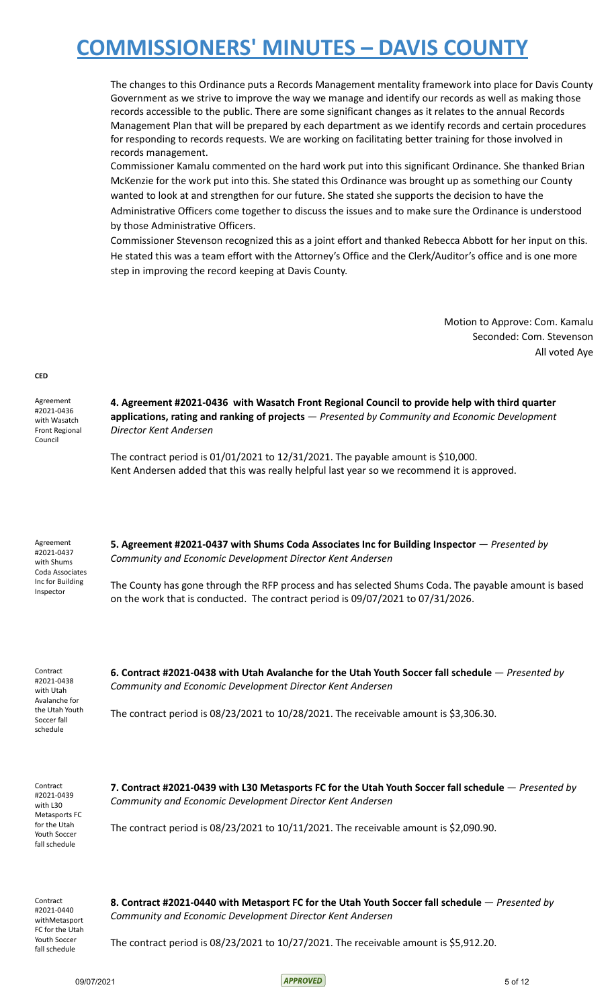The changes to this Ordinance puts a Records Management mentality framework into place for Davis County Government as we strive to improve the way we manage and identify our records as well as making those records accessible to the public. There are some significant changes as it relates to the annual Records Management Plan that will be prepared by each department as we identify records and certain procedures for responding to records requests. We are working on facilitating better training for those involved in records management.

Commissioner Kamalu commented on the hard work put into this significant Ordinance. She thanked Brian McKenzie for the work put into this. She stated this Ordinance was brought up as something our County wanted to look at and strengthen for our future. She stated she supports the decision to have the Administrative Officers come together to discuss the issues and to make sure the Ordinance is understood by those Administrative Officers.

Commissioner Stevenson recognized this as a joint effort and thanked Rebecca Abbott for her input on this. He stated this was a team effort with the Attorney's Office and the Clerk/Auditor's office and is one more step in improving the record keeping at Davis County.

> Motion to Approve: Com. Kamalu Seconded: Com. Stevenson All voted Aye

#### **CED**

Agreement #2021-0436 with Wasatch Front Regional Council

**4. Agreement #2021-0436 with Wasatch Front Regional Council to provide help with third quarter applications, rating and ranking of projects** — *Presented by Community and Economic Development Director Kent Andersen*

The contract period is 01/01/2021 to 12/31/2021. The payable amount is \$10,000. Kent Andersen added that this was really helpful last year so we recommend it is approved.

Agreement #2021-0437 with Shums Coda Associates Inc for Building Inspector

**5. Agreement #2021-0437 with Shums Coda Associates Inc for Building Inspector** — *Presented by Community and Economic Development Director Kent Andersen*

The County has gone through the RFP process and has selected Shums Coda. The payable amount is based on the work that is conducted. The contract period is 09/07/2021 to 07/31/2026.

Contract #2021-0438 with Utah Avalanche for the Utah Youth Soccer fall schedule

**6. Contract #2021-0438 with Utah Avalanche for the Utah Youth Soccer fall schedule** — *Presented by Community and Economic Development Director Kent Andersen*

The contract period is 08/23/2021 to 10/28/2021. The receivable amount is \$3,306.30.

Contract #2021-0439 with L30 Metasports FC for the Utah Youth Soccer fall schedule

**7. Contract #2021-0439 with L30 Metasports FC for the Utah Youth Soccer fall schedule** — *Presented by Community and Economic Development Director Kent Andersen*

The contract period is 08/23/2021 to 10/11/2021. The receivable amount is \$2,090.90.

Contract #2021-0440 withMetasport FC for the Utah Youth Soccer fall schedule

**8. Contract #2021-0440 with Metasport FC for the Utah Youth Soccer fall schedule** — *Presented by Community and Economic Development Director Kent Andersen*

The contract period is 08/23/2021 to 10/27/2021. The receivable amount is \$5,912.20.

09/07/2021 5 of 12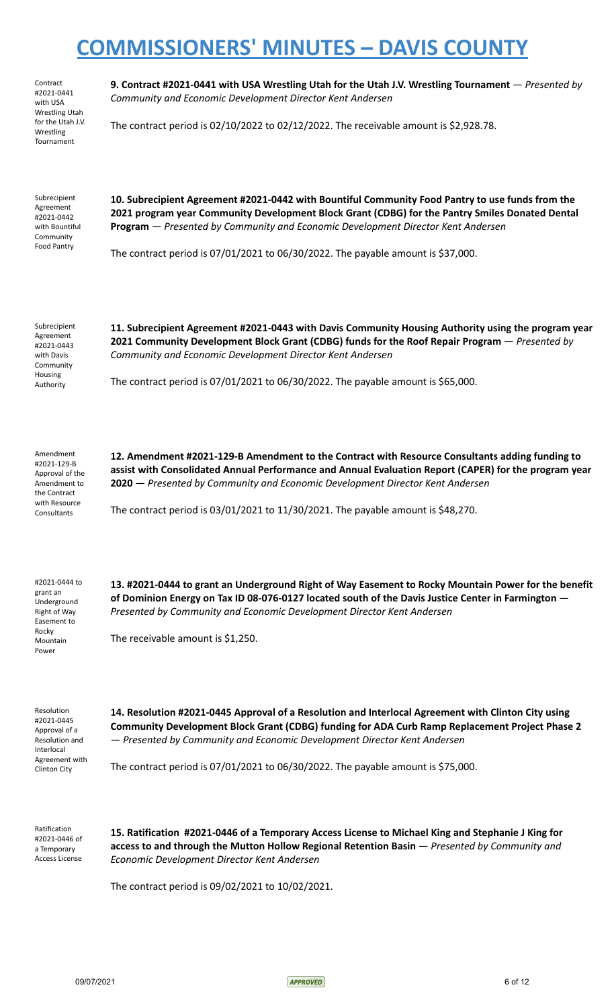Contract #2021-0441 with USA Wrestling Utah for the Utah J.V. Wrestling Tournament

**9. Contract #2021-0441 with USA Wrestling Utah for the Utah J.V. Wrestling Tournament** — *Presented by Community and Economic Development Director Kent Andersen*

The contract period is 02/10/2022 to 02/12/2022. The receivable amount is \$2,928.78.

Subrecipient Agreement #2021-0442 with Bountiful Community Food Pantry

**10. Subrecipient Agreement #2021-0442 with Bountiful Community Food Pantry to use funds from the 2021 program year Community Development Block Grant (CDBG) for the Pantry Smiles Donated Dental Program** — *Presented by Community and Economic Development Director Kent Andersen*

The contract period is 07/01/2021 to 06/30/2022. The payable amount is \$37,000.

Subrecipient Agreement #2021-0443 with Davis Community Housing Authority

**11. Subrecipient Agreement #2021-0443 with Davis Community Housing Authority using the program year 2021 Community Development Block Grant (CDBG) funds for the Roof Repair Program** — *Presented by Community and Economic Development Director Kent Andersen*

The contract period is 07/01/2021 to 06/30/2022. The payable amount is \$65,000.

Amendment #2021-129-B Approval of the Amendment to the Contract with Resource **Consultants** 

**12. Amendment #2021-129-B Amendment to the Contract with Resource Consultants adding funding to assist with Consolidated Annual Performance and Annual Evaluation Report (CAPER) for the program year 2020** — *Presented by Community and Economic Development Director Kent Andersen*

The contract period is 03/01/2021 to 11/30/2021. The payable amount is \$48,270.

#2021-0444 to grant an Underground Right of Way Easement to Rocky Mountain Power

**13. #2021-0444 to grant an Underground Right of Way Easement to Rocky Mountain Power for the benefit of Dominion Energy on Tax ID 08-076-0127 located south of the Davis Justice Center in Farmington** — *Presented by Community and Economic Development Director Kent Andersen*

The receivable amount is \$1,250.

Resolution #2021-0445 Approval of a Resolution and Interlocal Agreement with Clinton City

**14. Resolution #2021-0445 Approval of a Resolution and Interlocal Agreement with Clinton City using Community Development Block Grant (CDBG) funding for ADA Curb Ramp Replacement Project Phase 2** — *Presented by Community and Economic Development Director Kent Andersen*

The contract period is 07/01/2021 to 06/30/2022. The payable amount is \$75,000.

Ratification #2021-0446 of a Temporary Access License

**15. Ratification #2021-0446 of a Temporary Access License to Michael King and Stephanie J King for access to and through the Mutton Hollow Regional Retention Basin** — *Presented by Community and Economic Development Director Kent Andersen*

The contract period is 09/02/2021 to 10/02/2021.

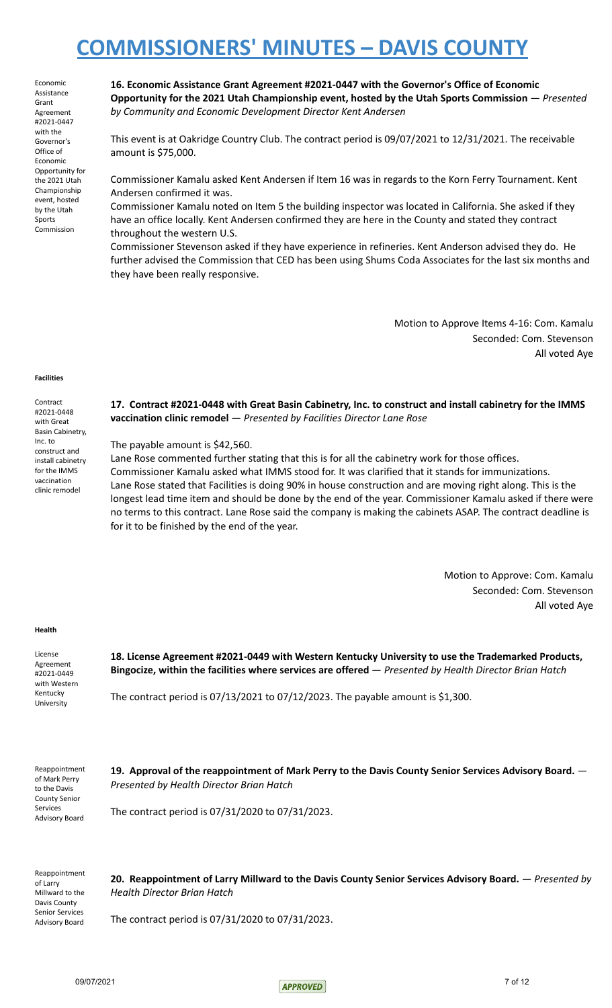Economic Assistance Grant Agreement #2021-0447 with the Governor's Office of Economic Opportunity for the 2021 Utah Championship event, hosted by the Utah Sports Commission

**16. Economic Assistance Grant Agreement #2021-0447 with the Governor's Office of Economic Opportunity for the 2021 Utah Championship event, hosted by the Utah Sports Commission** — *Presented by Community and Economic Development Director Kent Andersen*

This event is at Oakridge Country Club. The contract period is 09/07/2021 to 12/31/2021. The receivable amount is \$75,000.

Commissioner Kamalu asked Kent Andersen if Item 16 was in regards to the Korn Ferry Tournament. Kent Andersen confirmed it was.

Commissioner Kamalu noted on Item 5 the building inspector was located in California. She asked if they have an office locally. Kent Andersen confirmed they are here in the County and stated they contract throughout the western U.S.

Commissioner Stevenson asked if they have experience in refineries. Kent Anderson advised they do. He further advised the Commission that CED has been using Shums Coda Associates for the last six months and they have been really responsive.

> Motion to Approve Items 4-16: Com. Kamalu Seconded: Com. Stevenson All voted Aye

#### **Facilities**

Contract #2021-0448 with Great Basin Cabinetry, Inc. to construct and install cabinetry for the IMMS vaccination clinic remodel

**17. Contract #2021-0448 with Great Basin Cabinetry, Inc. to construct and install cabinetry for the IMMS vaccination clinic remodel** — *Presented by Facilities Director Lane Rose*

The payable amount is \$42,560.

Lane Rose commented further stating that this is for all the cabinetry work for those offices. Commissioner Kamalu asked what IMMS stood for. It was clarified that it stands for immunizations. Lane Rose stated that Facilities is doing 90% in house construction and are moving right along. This is the longest lead time item and should be done by the end of the year. Commissioner Kamalu asked if there were no terms to this contract. Lane Rose said the company is making the cabinets ASAP. The contract deadline is for it to be finished by the end of the year.

> Motion to Approve: Com. Kamalu Seconded: Com. Stevenson All voted Aye

#### **Health**

License Agreement #2021-0449 with Western Kentucky University

**18. License Agreement #2021-0449 with Western Kentucky University to use the Trademarked Products, Bingocize, within the facilities where services are offered** — *Presented by Health Director Brian Hatch*

The contract period is 07/13/2021 to 07/12/2023. The payable amount is \$1,300.

Reappointment of Mark Perry to the Davis County Senior Services Advisory Board

**19. Approval of the reappointment of Mark Perry to the Davis County Senior Services Advisory Board.** — *Presented by Health Director Brian Hatch*

The contract period is 07/31/2020 to 07/31/2023.

Reappointment of Larry Millward to the Davis County Senior Services Advisory Board

**20. Reappointment of Larry Millward to the Davis County Senior Services Advisory Board.** — *Presented by Health Director Brian Hatch*

The contract period is 07/31/2020 to 07/31/2023.

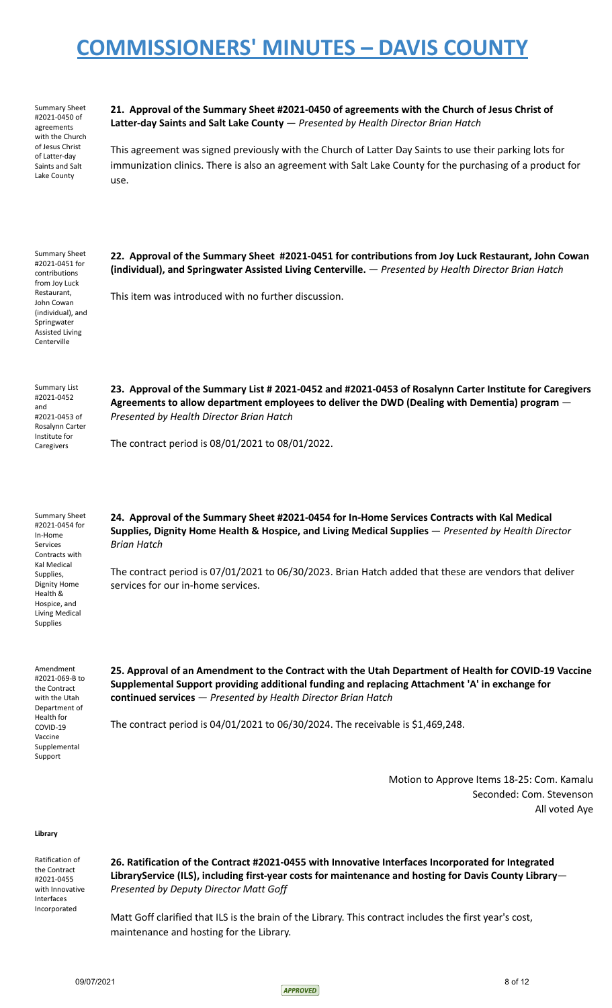Summary Sheet #2021-0450 of agreements with the Church of Jesus Christ of Latter-day Saints and Salt Lake County

contributions from Joy Luck Restaurant, John Cowan (individual), and Springwater Assisted Living Centerville

**21. Approval of the Summary Sheet #2021-0450 of agreements with the Church of Jesus Christ of Latter-day Saints and Salt Lake County** — *Presented by Health Director Brian Hatch*

This agreement was signed previously with the Church of Latter Day Saints to use their parking lots for immunization clinics. There is also an agreement with Salt Lake County for the purchasing of a product for use.

Summary Sheet #2021-0451 for **22. Approval of the Summary Sheet #2021-0451 for contributions from Joy Luck Restaurant, John Cowan (individual), and Springwater Assisted Living Centerville.** — *Presented by Health Director Brian Hatch*

This item was introduced with no further discussion.

Summary List #2021-0452 and #2021-0453 of Rosalynn Carter Institute for Caregivers

**23. Approval of the Summary List # 2021-0452 and #2021-0453 of Rosalynn Carter Institute for Caregivers Agreements to allow department employees to deliver the DWD (Dealing with Dementia) program** — *Presented by Health Director Brian Hatch*

The contract period is 08/01/2021 to 08/01/2022.

Summary Sheet #2021-0454 for In-Home Services Contracts with Kal Medical Supplies, Dignity Home Health & Hospice, and Living Medical Supplies

**24. Approval of the Summary Sheet #2021-0454 for In-Home Services Contracts with Kal Medical Supplies, Dignity Home Health & Hospice, and Living Medical Supplies** — *Presented by Health Director Brian Hatch*

The contract period is 07/01/2021 to 06/30/2023. Brian Hatch added that these are vendors that deliver services for our in-home services.

Amendment #2021-069-B to the Contract with the Utah Department of Health for COVID-19 Vaccine Supplemental Support

**25. Approval of an Amendment to the Contract with the Utah Department of Health for COVID-19 Vaccine Supplemental Support providing additional funding and replacing Attachment 'A' in exchange for continued services** — *Presented by Health Director Brian Hatch*

The contract period is 04/01/2021 to 06/30/2024. The receivable is \$1,469,248.

Motion to Approve Items 18-25: Com. Kamalu Seconded: Com. Stevenson All voted Aye

#### **Library**

Ratification of the Contract #2021-0455 with Innovative Interfaces Incorporated

**26. Ratification of the Contract #2021-0455 with Innovative Interfaces Incorporated for Integrated LibraryService (ILS), including first-year costs for maintenance and hosting for Davis County Library**— *Presented by Deputy Director Matt Goff*

Matt Goff clarified that ILS is the brain of the Library. This contract includes the first year's cost, maintenance and hosting for the Library.

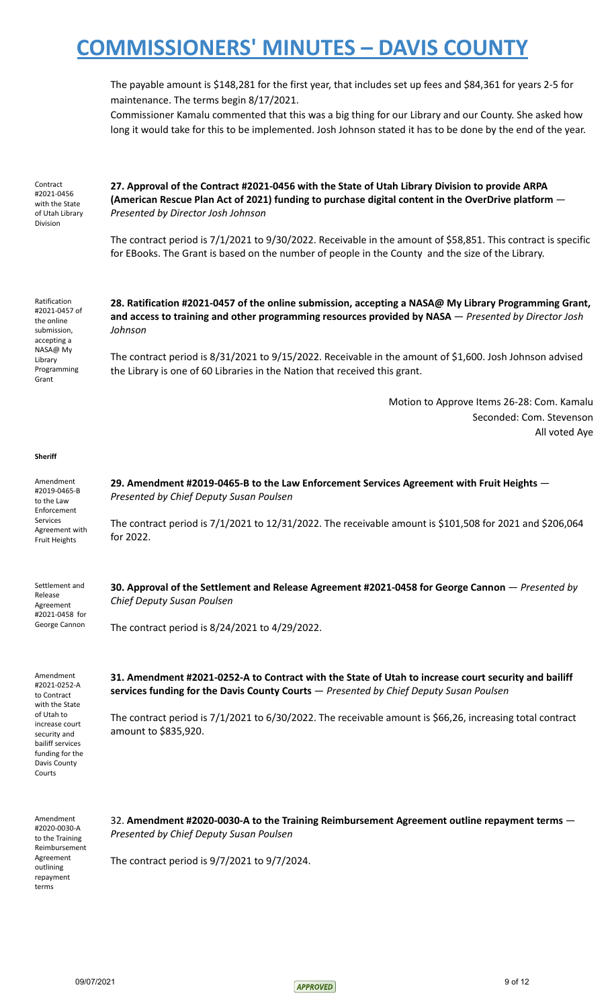The payable amount is \$148,281 for the first year, that includes set up fees and \$84,361 for years 2-5 for maintenance. The terms begin 8/17/2021.

Commissioner Kamalu commented that this was a big thing for our Library and our County. She asked how long it would take for this to be implemented. Josh Johnson stated it has to be done by the end of the year.

Contract #2021-0456 with the State of Utah Library Division

**27. Approval of the Contract #2021-0456 with the State of Utah Library Division to provide ARPA (American Rescue Plan Act of 2021) funding to purchase digital content in the OverDrive platform** — *Presented by Director Josh Johnson*

The contract period is 7/1/2021 to 9/30/2022. Receivable in the amount of \$58,851. This contract is specific for EBooks. The Grant is based on the number of people in the County and the size of the Library.

Ratification #2021-0457 of the online submission, accepting a NASA@ My Library Programming Grant

**28. Ratification #2021-0457 of the online submission, accepting a NASA@ My Library Programming Grant, and access to training and other programming resources provided by NASA** — *Presented by Director Josh Johnson*

The contract period is 8/31/2021 to 9/15/2022. Receivable in the amount of \$1,600. Josh Johnson advised the Library is one of 60 Libraries in the Nation that received this grant.

> Motion to Approve Items 26-28: Com. Kamalu Seconded: Com. Stevenson All voted Aye

#### **Sheriff**

Amendment #2019-0465-B to the Law Enforcement Services Agreement with Fruit Heights **29. Amendment #2019-0465-B to the Law Enforcement Services Agreement with Fruit Heights** — *Presented by Chief Deputy Susan Poulsen* The contract period is 7/1/2021 to 12/31/2022. The receivable amount is \$101,508 for 2021 and \$206,064 for 2022.

> **30. Approval of the Settlement and Release Agreement #2021-0458 for George Cannon** — *Presented by Chief Deputy Susan Poulsen*

The contract period is 8/24/2021 to 4/29/2022.

Amendment #2021-0252-A to Contract with the State of Utah to increase court security and bailiff services funding for the Davis County Courts

Settlement and Release Agreement #2021-0458 for George Cannon

> **31. Amendment #2021-0252-A to Contract with the State of Utah to increase court security and bailiff services funding for the Davis County Courts** — *Presented by Chief Deputy Susan Poulsen*

> The contract period is 7/1/2021 to 6/30/2022. The receivable amount is \$66,26, increasing total contract amount to \$835,920.

Amendment #2020-0030-A to the Training Reimbursement Agreement outlining repayment terms

32. **Amendment #2020-0030-A to the Training Reimbursement Agreement outline repayment terms** — *Presented by Chief Deputy Susan Poulsen*

The contract period is 9/7/2021 to 9/7/2024.

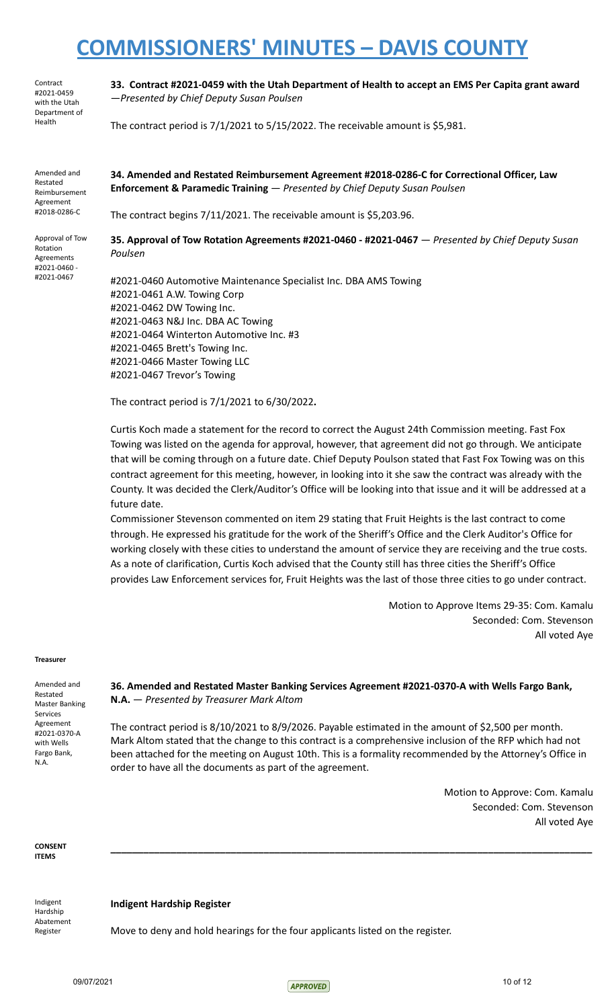Contract #2021-0459 with the Utah Department of Health

**33. Contract #2021-0459 with the Utah Department of Health to accept an EMS Per Capita grant award** —*Presented by Chief Deputy Susan Poulsen*

The contract period is  $7/1/2021$  to  $5/15/2022$ . The receivable amount is \$5,981.

Amended and Restated Reimbursement Agreement #2018-0286-C

Approval of Tow Rotation Agreements #2021-0460 - #2021-0467

**34. Amended and Restated Reimbursement Agreement #2018-0286-C for Correctional Officer, Law Enforcement & Paramedic Training** — *Presented by Chief Deputy Susan Poulsen*

The contract begins 7/11/2021. The receivable amount is \$5,203.96.

**35. Approval of Tow Rotation Agreements #2021-0460 - #2021-0467** — *Presented by Chief Deputy Susan Poulsen*

#2021-0460 Automotive Maintenance Specialist Inc. DBA AMS Towing #2021-0461 A.W. Towing Corp #2021-0462 DW Towing Inc. #2021-0463 N&J Inc. DBA AC Towing #2021-0464 Winterton Automotive Inc. #3 #2021-0465 Brett's Towing Inc. #2021-0466 Master Towing LLC #2021-0467 Trevor's Towing

The contract period is 7/1/2021 to 6/30/2022**.**

Curtis Koch made a statement for the record to correct the August 24th Commission meeting. Fast Fox Towing was listed on the agenda for approval, however, that agreement did not go through. We anticipate that will be coming through on a future date. Chief Deputy Poulson stated that Fast Fox Towing was on this contract agreement for this meeting, however, in looking into it she saw the contract was already with the County. It was decided the Clerk/Auditor's Office will be looking into that issue and it will be addressed at a future date.

Commissioner Stevenson commented on item 29 stating that Fruit Heights is the last contract to come through. He expressed his gratitude for the work of the Sheriff's Office and the Clerk Auditor's Office for working closely with these cities to understand the amount of service they are receiving and the true costs. As a note of clarification, Curtis Koch advised that the County still has three cities the Sheriff's Office provides Law Enforcement services for, Fruit Heights was the last of those three cities to go under contract.

> Motion to Approve Items 29-35: Com. Kamalu Seconded: Com. Stevenson All voted Aye

#### **Treasurer**

Amended and Restated Master Banking Services Agreement #2021-0370-A with Wells Fargo Bank, N.A.

**36. Amended and Restated Master Banking Services Agreement #2021-0370-A with Wells Fargo Bank, N.A.** — *Presented by Treasurer Mark Altom*

The contract period is 8/10/2021 to 8/9/2026. Payable estimated in the amount of \$2,500 per month. Mark Altom stated that the change to this contract is a comprehensive inclusion of the RFP which had not been attached for the meeting on August 10th. This is a formality recommended by the Attorney's Office in order to have all the documents as part of the agreement.

**\_\_\_\_\_\_\_\_\_\_\_\_\_\_\_\_\_\_\_\_\_\_\_\_\_\_\_\_\_\_\_\_\_\_\_\_\_\_\_\_\_\_\_\_\_\_\_\_\_\_\_\_\_\_\_\_\_\_\_\_\_\_\_\_\_\_\_\_\_\_\_\_\_\_\_\_\_\_\_\_\_\_\_\_\_\_\_\_**

Motion to Approve: Com. Kamalu Seconded: Com. Stevenson All voted Aye

**CONSENT ITEMS**

Indigent Hardship Abatement Register

**Indigent Hardship Register**

Move to deny and hold hearings for the four applicants listed on the register.

 $\sqrt{ap_{1/2021}}$  10 of 12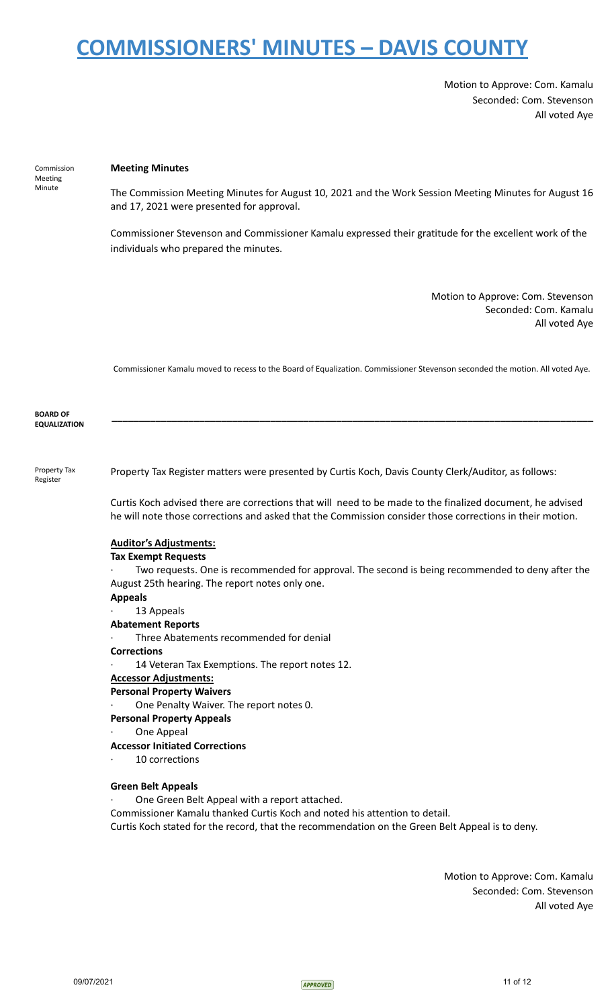Motion to Approve: Com. Kamalu Seconded: Com. Stevenson All voted Aye

# Commission Meeting Minute

### **Meeting Minutes**

The Commission Meeting Minutes for August 10, 2021 and the Work Session Meeting Minutes for August 16 and 17, 2021 were presented for approval.

Commissioner Stevenson and Commissioner Kamalu expressed their gratitude for the excellent work of the individuals who prepared the minutes.

> Motion to Approve: Com. Stevenson Seconded: Com. Kamalu All voted Aye

Commissioner Kamalu moved to recess to the Board of Equalization. Commissioner Stevenson seconded the motion. All voted Aye.

**\_\_\_\_\_\_\_\_\_\_\_\_\_\_\_\_\_\_\_\_\_\_\_\_\_\_\_\_\_\_\_\_\_\_\_\_\_\_\_\_\_\_\_\_\_\_\_\_\_\_\_\_\_\_\_\_\_\_\_\_\_\_\_\_\_\_\_\_\_\_\_\_\_\_\_\_\_\_\_\_\_\_\_\_\_\_\_\_**

#### **BOARD OF EQUALIZATION**

Property Tax Register

Property Tax Register matters were presented by Curtis Koch, Davis County Clerk/Auditor, as follows:

Curtis Koch advised there are corrections that will need to be made to the finalized document, he advised he will note those corrections and asked that the Commission consider those corrections in their motion.

# **Auditor's Adjustments:**

### **Tax Exempt Requests**

Two requests. One is recommended for approval. The second is being recommended to deny after the August 25th hearing. The report notes only one.

### **Appeals**

# 13 Appeals

**Abatement Reports**

Three Abatements recommended for denial

#### **Corrections**

14 Veteran Tax Exemptions. The report notes 12.

### **Accessor Adjustments:**

## **Personal Property Waivers**

One Penalty Waiver. The report notes 0.

### **Personal Property Appeals**

One Appeal

# **Accessor Initiated Corrections**

10 corrections

# **Green Belt Appeals**

One Green Belt Appeal with a report attached.

Commissioner Kamalu thanked Curtis Koch and noted his attention to detail.

Curtis Koch stated for the record, that the recommendation on the Green Belt Appeal is to deny.

Motion to Approve: Com. Kamalu Seconded: Com. Stevenson All voted Aye